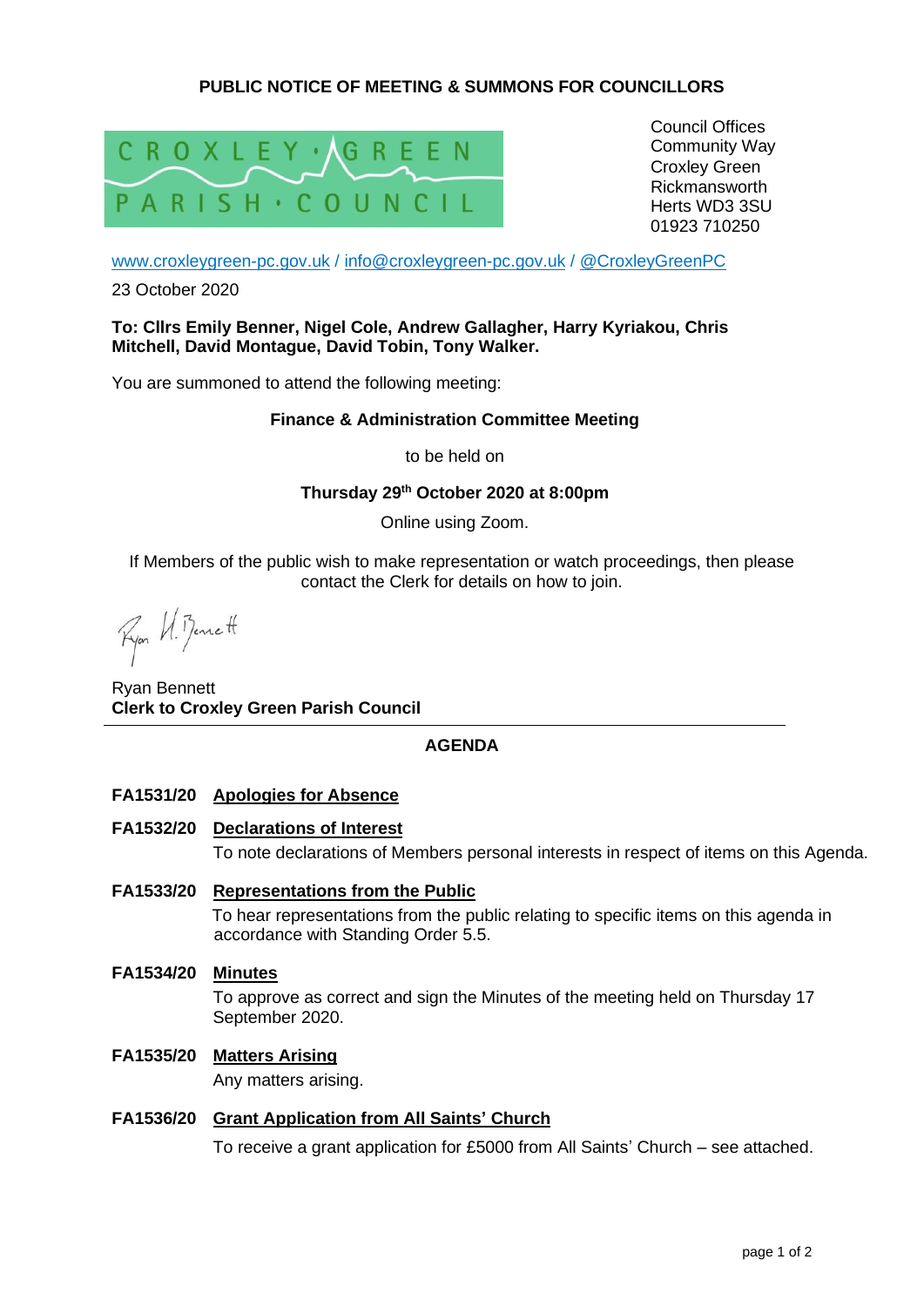# **PUBLIC NOTICE OF MEETING & SUMMONS FOR COUNCILLORS**



Council Offices Community Way Croxley Green Rickmansworth Herts WD3 3SU 01923 710250

[www.croxleygreen-pc.gov.uk](http://www.croxleygreen-pc.gov.uk/) / [info@croxleygreen-pc.gov.uk](mailto:info@croxleygreen-pc.gov.uk) / [@CroxleyGreenPC](https://twitter.com/CroxleyGreenPC)

23 October 2020

#### **To: Cllrs Emily Benner, Nigel Cole, Andrew Gallagher, Harry Kyriakou, Chris Mitchell, David Montague, David Tobin, Tony Walker.**

You are summoned to attend the following meeting:

#### **Finance & Administration Committee Meeting**

to be held on

#### **Thursday 29th October 2020 at 8:00pm**

Online using Zoom.

If Members of the public wish to make representation or watch proceedings, then please contact the Clerk for details on how to join.

Ryon U. Benett

Ryan Bennett **Clerk to Croxley Green Parish Council**

## **AGENDA**

- **FA1531/20 Apologies for Absence**
- **FA1532/20 Declarations of Interest** To note declarations of Members personal interests in respect of items on this Agenda.
- **FA1533/20 Representations from the Public**  To hear representations from the public relating to specific items on this agenda in accordance with Standing Order 5.5.
- **FA1534/20 Minutes** To approve as correct and sign the Minutes of the meeting held on Thursday 17 September 2020.
- **FA1535/20 Matters Arising**

Any matters arising.

## **FA1536/20 Grant Application from All Saints' Church**

To receive a grant application for £5000 from All Saints' Church – see attached.